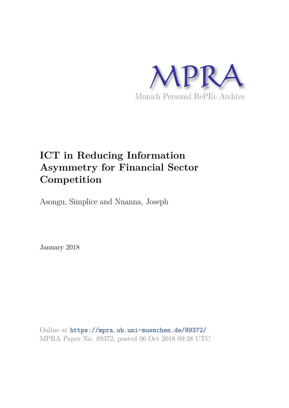

## **ICT in Reducing Information Asymmetry for Financial Sector Competition**

Asongu, Simplice and Nnanna, Joseph

January 2018

Online at https://mpra.ub.uni-muenchen.de/89372/ MPRA Paper No. 89372, posted 06 Oct 2018 09:38 UTC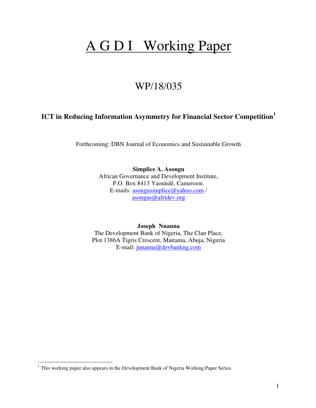# A G D I Working Paper

## WP/18/035

## **ICT in Reducing Information Asymmetry for Financial Sector Competition<sup>1</sup>**

Forthcoming: DBN Journal of Economics and Sustainable Growth

**Simplice A. Asongu**  African Governance and Development Institute, P.O. Box 8413 Yaoundé, Cameroon. E-mails: [asongusimplice@yahoo.com](mailto:asongusimplice@yahoo.com) / [asongus@afridev.org](mailto:asongus@afridev.org) 

**Joseph Nnanna**  The Development Bank of Nigeria, The Clan Place, Plot 1386A Tigris Crescent, Maitama, Abuja, Nigeria E-mail: [jnnanna@devbankng.com](mailto:jnnanna@devbankng.com) 

l

<sup>&</sup>lt;sup>1</sup> This working paper also appears in the Development Bank of Nigeria Working Paper Series.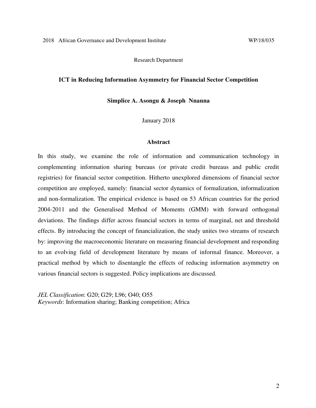Research Department

#### **ICT in Reducing Information Asymmetry for Financial Sector Competition**

**Simplice A. Asongu & Joseph Nnanna** 

January 2018

#### **Abstract**

In this study, we examine the role of information and communication technology in complementing information sharing bureaus (or private credit bureaus and public credit registries) for financial sector competition. Hitherto unexplored dimensions of financial sector competition are employed, namely: financial sector dynamics of formalization, informalization and non-formalization. The empirical evidence is based on 53 African countries for the period 2004-2011 and the Generalised Method of Moments (GMM) with forward orthogonal deviations. The findings differ across financial sectors in terms of marginal, net and threshold effects. By introducing the concept of financialization, the study unites two streams of research by: improving the macroeconomic literature on measuring financial development and responding to an evolving field of development literature by means of informal finance. Moreover, a practical method by which to disentangle the effects of reducing information asymmetry on various financial sectors is suggested. Policy implications are discussed.

*JEL Classification*: G20; G29; L96; O40; O55 *Keywords*: Information sharing; Banking competition; Africa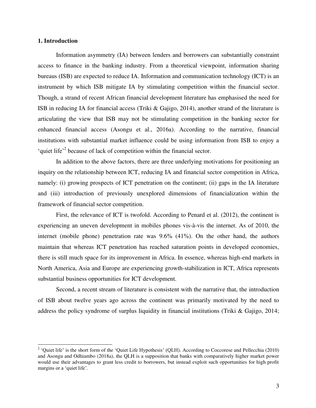#### **1. Introduction**

l

 Information asymmetry (IA) between lenders and borrowers can substantially constraint access to finance in the banking industry. From a theoretical viewpoint, information sharing bureaus (ISB) are expected to reduce IA. Information and communication technology (ICT) is an instrument by which ISB mitigate IA by stimulating competition within the financial sector. Though, a strand of recent African financial development literature has emphasised the need for ISB in reducing IA for financial access (Triki & Gajigo, 2014), another strand of the literature is articulating the view that ISB may not be stimulating competition in the banking sector for enhanced financial access (Asongu et al., 2016a). According to the narrative, financial institutions with substantial market influence could be using information from ISB to enjoy a 'quiet life'<sup>2</sup> because of lack of competition within the financial sector.

 In addition to the above factors, there are three underlying motivations for positioning an inquiry on the relationship between ICT, reducing IA and financial sector competition in Africa, namely: (i) growing prospects of ICT penetration on the continent; (ii) gaps in the IA literature and (iii) introduction of previously unexplored dimensions of financialization within the framework of financial sector competition.

 First, the relevance of ICT is twofold. According to Penard et al. (2012), the continent is experiencing an uneven development in mobiles phones vis-à-vis the internet. As of 2010, the internet (mobile phone) penetration rate was 9.6% (41%). On the other hand, the authors maintain that whereas ICT penetration has reached saturation points in developed economies, there is still much space for its improvement in Africa. In essence, whereas high-end markets in North America, Asia and Europe are experiencing growth-stabilization in ICT, Africa represents substantial business opportunities for ICT development.

 Second, a recent stream of literature is consistent with the narrative that, the introduction of ISB about twelve years ago across the continent was primarily motivated by the need to address the policy syndrome of surplus liquidity in financial institutions (Triki & Gajigo, 2014;

<sup>&</sup>lt;sup>2</sup> 'Quiet life' is the short form of the 'Quiet Life Hypothesis' (QLH). According to Coccorese and Pellecchia (2010) and Asongu and Odhiambo (2018a), the QLH is a supposition that banks with comparatively higher market power would use their advantages to grant less credit to borrowers, but instead exploit such opportunities for high profit margins or a 'quiet life'.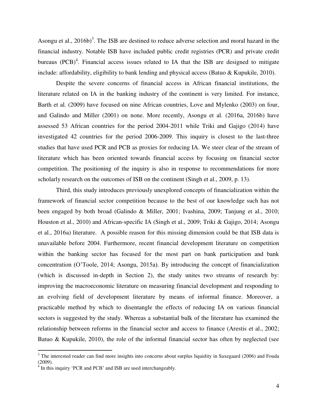Asongu et al.,  $2016b$ <sup>3</sup>. The ISB are destined to reduce adverse selection and moral hazard in the financial industry. Notable ISB have included public credit registries (PCR) and private credit bureaus  $(PCB)^4$ . Financial access issues related to IA that the ISB are designed to mitigate include: affordability, eligibility to bank lending and physical access (Batuo & Kupukile, 2010).

 Despite the severe concerns of financial access in African financial institutions, the literature related on IA in the banking industry of the continent is very limited. For instance, Barth et al. (2009) have focused on nine African countries, Love and Mylenko (2003) on four, and Galindo and Miller (2001) on none. More recently, Asongu et al. (2016a, 2016b) have assessed 53 African countries for the period 2004-2011 while Triki and Gajigo (2014) have investigated 42 countries for the period 2006-2009. This inquiry is closest to the last-three studies that have used PCR and PCB as proxies for reducing IA. We steer clear of the stream of literature which has been oriented towards financial access by focusing on financial sector competition. The positioning of the inquiry is also in response to recommendations for more scholarly research on the outcomes of ISB on the continent (Singh et al., 2009, p. 13).

 Third, this study introduces previously unexplored concepts of financialization within the framework of financial sector competition because to the best of our knowledge such has not been engaged by both broad (Galindo & Miller, 2001; Ivashina, 2009; Tanjung et al., 2010; Houston et al., 2010) and African-specific IA (Singh et al., 2009; Triki & Gajigo, 2014; Asongu et al., 2016a) literature. A possible reason for this missing dimension could be that ISB data is unavailable before 2004. Furthermore, recent financial development literature on competition within the banking sector has focused for the most part on bank participation and bank concentration (O'Toole, 2014; Asongu, 2015a). By introducing the concept of financialization (which is discussed in-depth in Section 2), the study unites two streams of research by: improving the macroeconomic literature on measuring financial development and responding to an evolving field of development literature by means of informal finance. Moreover, a practicable method by which to disentangle the effects of reducing IA on various financial sectors is suggested by the study. Whereas a substantial bulk of the literature has examined the relationship between reforms in the financial sector and access to finance (Arestis et al., 2002; Batuo & Kupukile, 2010), the role of the informal financial sector has often by neglected (see

l

 $3$  The interested reader can find more insights into concerns about surplus liquidity in Saxegaard (2006) and Fouda (2009).

<sup>&</sup>lt;sup>4</sup> In this inquiry 'PCR and PCB' and ISB are used interchangeably.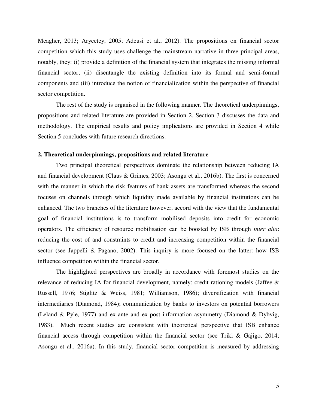Meagher, 2013; Aryeetey, 2005; Adeusi et al., 2012). The propositions on financial sector competition which this study uses challenge the mainstream narrative in three principal areas, notably, they: (i) provide a definition of the financial system that integrates the missing informal financial sector; (ii) disentangle the existing definition into its formal and semi-formal components and (iii) introduce the notion of financialization within the perspective of financial sector competition.

 The rest of the study is organised in the following manner. The theoretical underpinnings, propositions and related literature are provided in Section 2. Section 3 discusses the data and methodology. The empirical results and policy implications are provided in Section 4 while Section 5 concludes with future research directions.

#### **2. Theoretical underpinnings, propositions and related literature**

Two principal theoretical perspectives dominate the relationship between reducing IA and financial development (Claus & Grimes, 2003; Asongu et al., 2016b). The first is concerned with the manner in which the risk features of bank assets are transformed whereas the second focuses on channels through which liquidity made available by financial institutions can be enhanced. The two branches of the literature however, accord with the view that the fundamental goal of financial institutions is to transform mobilised deposits into credit for economic operators. The efficiency of resource mobilisation can be boosted by ISB through *inter alia*: reducing the cost of and constraints to credit and increasing competition within the financial sector (see Jappelli & Pagano, 2002). This inquiry is more focused on the latter: how ISB influence competition within the financial sector.

 The highlighted perspectives are broadly in accordance with foremost studies on the relevance of reducing IA for financial development, namely: credit rationing models (Jaffee & Russell, 1976; Stiglitz & Weiss, 1981; Williamson, 1986); diversification with financial intermediaries (Diamond, 1984); communication by banks to investors on potential borrowers (Leland & Pyle, 1977) and ex-ante and ex-post information asymmetry (Diamond & Dybvig, 1983). Much recent studies are consistent with theoretical perspective that ISB enhance financial access through competition within the financial sector (see Triki & Gajigo, 2014; Asongu et al., 2016a). In this study, financial sector competition is measured by addressing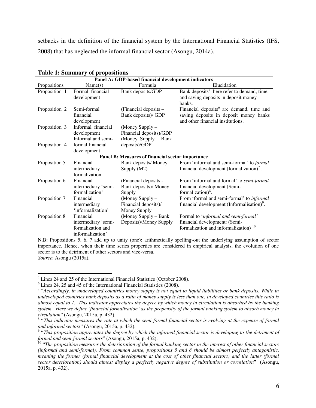setbacks in the definition of the financial system by the International Financial Statistics (IFS, 2008) that has neglected the informal financial sector (Asongu, 2014a).

| Panel A: GDP-based financial development indicators |                     |                                                  |                                                                        |  |  |  |  |  |  |  |
|-----------------------------------------------------|---------------------|--------------------------------------------------|------------------------------------------------------------------------|--|--|--|--|--|--|--|
| Propositions                                        | Name(s)             | Formula                                          | Elucidation                                                            |  |  |  |  |  |  |  |
| Proposition 1                                       | Formal financial    | Bank deposits/GDP                                | Bank deposits <sup>5</sup> here refer to demand, time                  |  |  |  |  |  |  |  |
|                                                     | development         |                                                  | and saving deposits in deposit money                                   |  |  |  |  |  |  |  |
|                                                     |                     |                                                  | banks.                                                                 |  |  |  |  |  |  |  |
| Proposition 2                                       | Semi-formal         | (Financial deposits $-$                          | Financial deposits <sup>6</sup> are demand, time and                   |  |  |  |  |  |  |  |
|                                                     | financial           | Bank deposits)/ GDP                              | saving deposits in deposit money banks                                 |  |  |  |  |  |  |  |
|                                                     | development         |                                                  | and other financial institutions.                                      |  |  |  |  |  |  |  |
| Proposition 3                                       | Informal financial  | (Money Supply -                                  |                                                                        |  |  |  |  |  |  |  |
|                                                     | development         | Financial deposits)/GDP                          |                                                                        |  |  |  |  |  |  |  |
|                                                     | Informal and semi-  | (Money Supply - Bank                             |                                                                        |  |  |  |  |  |  |  |
| Proposition 4                                       | formal financial    | deposits)/GDP                                    |                                                                        |  |  |  |  |  |  |  |
|                                                     | development         |                                                  |                                                                        |  |  |  |  |  |  |  |
|                                                     |                     | Panel B: Measures of financial sector importance |                                                                        |  |  |  |  |  |  |  |
| Proposition 5                                       | Financial           | Bank deposits/ Money                             | From 'informal and semi-formal' to <i>formal</i>                       |  |  |  |  |  |  |  |
|                                                     | intermediary        | Supply $(M2)$                                    | financial development (formalization) <sup><math>\prime</math></sup> . |  |  |  |  |  |  |  |
|                                                     | formalization       |                                                  |                                                                        |  |  |  |  |  |  |  |
| Proposition 6                                       | Financial           | (Financial deposits -                            | From 'informal and formal' to <i>semi-formal</i>                       |  |  |  |  |  |  |  |
|                                                     | intermediary 'semi- | Bank deposits)/ Money                            | financial development (Semi-                                           |  |  |  |  |  |  |  |
|                                                     | formalization'      | Supply                                           | formalization) <sup>8</sup> .                                          |  |  |  |  |  |  |  |
| Proposition 7                                       | Financial           | (Money Supply -                                  | From 'formal and semi-formal' to <i>informal</i>                       |  |  |  |  |  |  |  |
|                                                     | intermediary        | Financial deposits)/                             | financial development (Informalisation) <sup>9</sup> .                 |  |  |  |  |  |  |  |
|                                                     | 'informalization'   | Money Supply                                     |                                                                        |  |  |  |  |  |  |  |
| Proposition 8                                       | Financial           | (Money Supply – Bank                             | Formal to 'informal and semi-formal'                                   |  |  |  |  |  |  |  |
|                                                     | intermediary 'semi- | Deposits)/Money Supply                           | financial development: (Semi-                                          |  |  |  |  |  |  |  |
|                                                     | formalization and   |                                                  | formalization and informalization) <sup>10</sup>                       |  |  |  |  |  |  |  |
|                                                     | informalization'    |                                                  |                                                                        |  |  |  |  |  |  |  |

#### **Table 1: Summary of propositions**

N.B: Propositions 5, 6, 7 add up to unity (one); arithmetically spelling-out the underlying assumption of sector importance. Hence, when their time series properties are considered in empirical analysis, the evolution of one sector is to the detriment of other sectors and vice-versa. *Source*: Asongu (2015a).

l

 $<sup>5</sup>$  Lines 24 and 25 of the International Financial Statistics (October 2008).</sup>

<sup>6</sup> Lines 24, 25 and 45 of the International Financial Statistics (2008).

<sup>7</sup> "*Accordingly, in undeveloped countries money supply is not equal to liquid liabilities or bank deposits. While in undeveloped countries bank deposits as a ratio of money supply is less than one, in developed countries this ratio is almost equal to 1. This indicator appreciates the degree by which money in circulation is absorbed by the banking system. Here we define 'financial formalization' as the propensity of the formal banking system to absorb money in circulation*" (Asongu, 2015a, p. 432).

<sup>&</sup>lt;sup>8</sup> "This indicator measures the rate at which the semi-formal financial sector is evolving at the expense of formal *and informal sectors*" (Asongu, 2015a, p. 432).

<sup>&</sup>lt;sup>9</sup> "This proposition appreciates the degree by which the informal financial sector is developing to the detriment of *formal and semi-formal sectors*" (Asongu, 2015a, p. 432).

<sup>&</sup>lt;sup>10</sup> "The proposition measures the deterioration of the formal banking sector in the interest of other financial sectors *(informal and semi-formal). From common sense, propositions 5 and 8 should be almost perfectly antagonistic, meaning the former (formal financial development at the cost of other financial sectors) and the latter (formal sector deterioration) should almost display a perfectly negative degree of substitution or correlation*" (Asongu, 2015a, p. 432).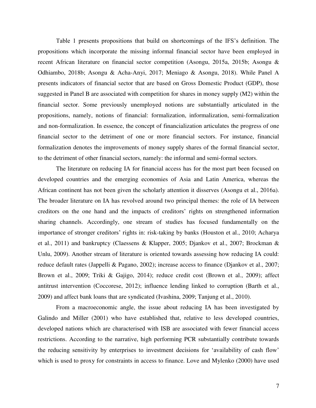Table 1 presents propositions that build on shortcomings of the IFS's definition. The propositions which incorporate the missing informal financial sector have been employed in recent African literature on financial sector competition (Asongu, 2015a, 2015b; Asongu & Odhiambo, 2018b; Asongu & Acha-Anyi, 2017; Meniago & Asongu, 2018). While Panel A presents indicators of financial sector that are based on Gross Domestic Product (GDP), those suggested in Panel B are associated with competition for shares in money supply (M2) within the financial sector. Some previously unemployed notions are substantially articulated in the propositions, namely, notions of financial: formalization, informalization, semi-formalization and non-formalization. In essence, the concept of financialization articulates the progress of one financial sector to the detriment of one or more financial sectors. For instance, financial formalization denotes the improvements of money supply shares of the formal financial sector, to the detriment of other financial sectors, namely: the informal and semi-formal sectors.

The literature on reducing IA for financial access has for the most part been focused on developed countries and the emerging economies of Asia and Latin America, whereas the African continent has not been given the scholarly attention it disserves (Asongu et al., 2016a). The broader literature on IA has revolved around two principal themes: the role of IA between creditors on the one hand and the impacts of creditors' rights on strengthened information sharing channels. Accordingly, one stream of studies has focused fundamentally on the importance of stronger creditors' rights in: risk-taking by banks (Houston et al., 2010; Acharya et al., 2011) and bankruptcy (Claessens & Klapper, 2005; Djankov et al., 2007; Brockman & Unlu, 2009). Another stream of literature is oriented towards assessing how reducing IA could: reduce default rates (Jappelli & Pagano, 2002); increase access to finance (Djankov et al., 2007; Brown et al., 2009; Triki & Gajigo, 2014); reduce credit cost (Brown et al., 2009); affect antitrust intervention (Coccorese, 2012); influence lending linked to corruption (Barth et al., 2009) and affect bank loans that are syndicated (Ivashina, 2009; Tanjung et al., 2010).

From a macroeconomic angle, the issue about reducing IA has been investigated by Galindo and Miller (2001) who have established that, relative to less developed countries, developed nations which are characterised with ISB are associated with fewer financial access restrictions. According to the narrative, high performing PCR substantially contribute towards the reducing sensitivity by enterprises to investment decisions for 'availability of cash flow' which is used to proxy for constraints in access to finance. Love and Mylenko (2000) have used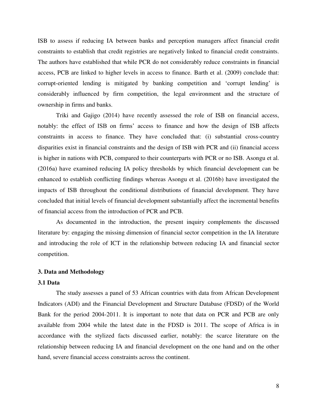ISB to assess if reducing IA between banks and perception managers affect financial credit constraints to establish that credit registries are negatively linked to financial credit constraints. The authors have established that while PCR do not considerably reduce constraints in financial access, PCB are linked to higher levels in access to finance. Barth et al. (2009) conclude that: corrupt-oriented lending is mitigated by banking competition and 'corrupt lending' is considerably influenced by firm competition, the legal environment and the structure of ownership in firms and banks.

Triki and Gajigo (2014) have recently assessed the role of ISB on financial access, notably: the effect of ISB on firms' access to finance and how the design of ISB affects constraints in access to finance. They have concluded that: (i) substantial cross-country disparities exist in financial constraints and the design of ISB with PCR and (ii) financial access is higher in nations with PCB, compared to their counterparts with PCR or no ISB. Asongu et al. (2016a) have examined reducing IA policy thresholds by which financial development can be enhanced to establish conflicting findings whereas Asongu et al. (2016b) have investigated the impacts of ISB throughout the conditional distributions of financial development. They have concluded that initial levels of financial development substantially affect the incremental benefits of financial access from the introduction of PCR and PCB.

As documented in the introduction, the present inquiry complements the discussed literature by: engaging the missing dimension of financial sector competition in the IA literature and introducing the role of ICT in the relationship between reducing IA and financial sector competition.

#### **3. Data and Methodology**

#### **3.1 Data**

 The study assesses a panel of 53 African countries with data from African Development Indicators (ADI) and the Financial Development and Structure Database (FDSD) of the World Bank for the period 2004-2011. It is important to note that data on PCR and PCB are only available from 2004 while the latest date in the FDSD is 2011. The scope of Africa is in accordance with the stylized facts discussed earlier, notably: the scarce literature on the relationship between reducing IA and financial development on the one hand and on the other hand, severe financial access constraints across the continent.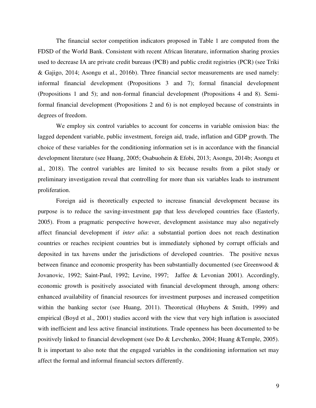The financial sector competition indicators proposed in Table 1 are computed from the FDSD of the World Bank. Consistent with recent African literature, information sharing proxies used to decrease IA are private credit bureaus (PCB) and public credit registries (PCR) (see Triki & Gajigo, 2014; Asongu et al., 2016b). Three financial sector measurements are used namely: informal financial development (Propositions 3 and 7); formal financial development (Propositions 1 and 5); and non-formal financial development (Propositions 4 and 8). Semiformal financial development (Propositions 2 and 6) is not employed because of constraints in degrees of freedom.

We employ six control variables to account for concerns in variable omission bias: the lagged dependent variable, public investment, foreign aid, trade, inflation and GDP growth. The choice of these variables for the conditioning information set is in accordance with the financial development literature (see Huang, 2005; Osabuohein & Efobi, 2013; Asongu, 2014b; Asongu et al., 2018). The control variables are limited to six because results from a pilot study or preliminary investigation reveal that controlling for more than six variables leads to instrument proliferation.

 Foreign aid is theoretically expected to increase financial development because its purpose is to reduce the saving-investment gap that less developed countries face (Easterly, 2005). From a pragmatic perspective however, development assistance may also negatively affect financial development if *inter alia*: a substantial portion does not reach destination countries or reaches recipient countries but is immediately siphoned by corrupt officials and deposited in tax havens under the jurisdictions of developed countries. The positive nexus between finance and economic prosperity has been substantially documented (see Greenwood & Jovanovic, 1992; Saint-Paul, 1992; Levine, 1997; Jaffee & Levonian 2001). Accordingly, economic growth is positively associated with financial development through, among others: enhanced availability of financial resources for investment purposes and increased competition within the banking sector (see Huang, 2011). Theoretical (Huybens & Smith, 1999) and empirical (Boyd et al., 2001) studies accord with the view that very high inflation is associated with inefficient and less active financial institutions. Trade openness has been documented to be positively linked to financial development (see Do & Levchenko, 2004; Huang &Temple, 2005). It is important to also note that the engaged variables in the conditioning information set may affect the formal and informal financial sectors differently.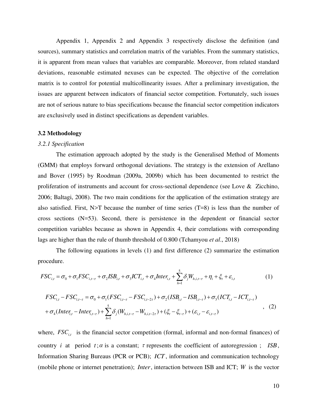Appendix 1, Appendix 2 and Appendix 3 respectively disclose the definition (and sources), summary statistics and correlation matrix of the variables. From the summary statistics, it is apparent from mean values that variables are comparable. Moreover, from related standard deviations, reasonable estimated nexuses can be expected. The objective of the correlation matrix is to control for potential multicollinearity issues. After a preliminary investigation, the issues are apparent between indicators of financial sector competition. Fortunately, such issues are not of serious nature to bias specifications because the financial sector competition indicators are exclusively used in distinct specifications as dependent variables.

#### **3.2 Methodology**

#### *3.2.1 Specification*

 The estimation approach adopted by the study is the Generalised Method of Moments (GMM) that employs forward orthogonal deviations. The strategy is the extension of Arellano and Bover (1995) by Roodman (2009a, 2009b) which has been documented to restrict the proliferation of instruments and account for cross-sectional dependence (see Love & Zicchino, 2006; Baltagi, 2008). The two main conditions for the application of the estimation strategy are also satisfied. First,  $N>T$  because the number of time series  $(T=8)$  is less than the number of cross sections (N=53). Second, there is persistence in the dependent or financial sector competition variables because as shown in Appendix 4, their correlations with corresponding lags are higher than the rule of thumb threshold of 0.800 (Tchamyou *et al*., 2018)

The following equations in levels (1) and first difference (2) summarize the estimation procedure.

$$
FSC_{i,t} = \sigma_0 + \sigma_1 FSC_{i,t-\tau} + \sigma_2 ISB_{i,t} + \sigma_3 ICT_{i,t} + \sigma_4 Inter_{i,t} + \sum_{h=1}^5 \delta_j W_{h,i,t-\tau} + \eta_i + \xi_t + \varepsilon_{i,t}
$$
 (1)

$$
FSC_{i,t} - FSC_{i,t-\tau} = \sigma_0 + \sigma_1(FSC_{i,t-\tau} - FSC_{i,t-2\tau}) + \sigma_2(ISB_{i,t} - ISB_{i,t-\tau}) + \sigma_3(ICT_{i,t} - ICT_{i,t-\tau})
$$
  
+  $\sigma_4(Inter_{i,t} - Inter_{i,t-\tau}) + \sum_{h=1}^{5} \delta_j(W_{h,i,t-\tau} - W_{h,i,t-2\tau}) + (\xi_t - \xi_{t-\tau}) + (\varepsilon_{i,t} - \varepsilon_{i,t-\tau})$  (2)

where,  $FSC_{i,t}$  is the financial sector competition (formal, informal and non-formal finances) of country *i* at period  $t$ ;  $\alpha$  is a constant;  $\tau$  represents the coefficient of autoregression; *ISB*, Information Sharing Bureaus (PCR or PCB); *ICT* , information and communication technology (mobile phone or internet penetration); *Inter*, interaction between ISB and ICT; *W* is the vector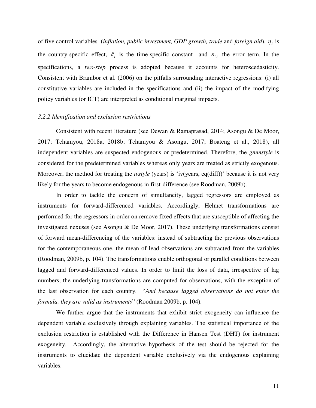of five control variables (*inflation, public investment, GDP growth, trade* and *foreign aid*),  $\eta_i$  is the country-specific effect,  $\xi_t$  is the time-specific constant and  $\varepsilon_{i,t}$  the error term. In the specifications, a *two-step* process is adopted because it accounts for heteroscedasticity. Consistent with Brambor et al. (2006) on the pitfalls surrounding interactive regressions: (i) all constitutive variables are included in the specifications and (ii) the impact of the modifying policy variables (or ICT) are interpreted as conditional marginal impacts.

#### *3.2.2 Identification and exclusion restrictions*

 Consistent with recent literature (see Dewan & Ramaprasad, 2014; Asongu & De Moor, 2017; Tchamyou, 2018a, 2018b; Tchamyou & Asongu, 2017; Boateng et al., 2018), all independent variables are suspected endogenous or predetermined. Therefore, the *gmmstyle* is considered for the predetermined variables whereas only years are treated as strictly exogenous. Moreover, the method for treating the *ivstyle* (years) is 'iv(years, eq(diff))' because it is not very likely for the years to become endogenous in first-difference (see Roodman, 2009b).

 In order to tackle the concern of simultaneity, lagged regressors are employed as instruments for forward-differenced variables. Accordingly, Helmet transformations are performed for the regressors in order on remove fixed effects that are susceptible of affecting the investigated nexuses (see Asongu & De Moor, 2017). These underlying transformations consist of forward mean-differencing of the variables: instead of subtracting the previous observations for the contemporaneous one, the mean of lead observations are subtracted from the variables (Roodman, 2009b, p. 104). The transformations enable orthogonal or parallel conditions between lagged and forward-differenced values. In order to limit the loss of data, irrespective of lag numbers, the underlying transformations are computed for observations, with the exception of the last observation for each country. "*And because lagged observations do not enter the formula, they are valid as instruments*" (Roodman 2009b, p. 104).

 We further argue that the instruments that exhibit strict exogeneity can influence the dependent variable exclusively through explaining variables. The statistical importance of the exclusion restriction is established with the Difference in Hansen Test (DHT) for instrument exogeneity. Accordingly, the alternative hypothesis of the test should be rejected for the instruments to elucidate the dependent variable exclusively via the endogenous explaining variables.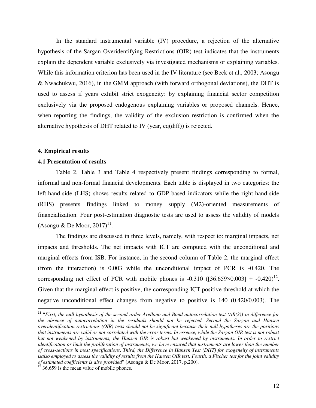In the standard instrumental variable (IV) procedure, a rejection of the alternative hypothesis of the Sargan Overidentifying Restrictions (OIR) test indicates that the instruments explain the dependent variable exclusively via investigated mechanisms or explaining variables. While this information criterion has been used in the IV literature (see Beck et al., 2003; Asongu & Nwachukwu, 2016), in the GMM approach (with forward orthogonal deviations), the DHT is used to assess if years exhibit strict exogeneity: by explaining financial sector competition exclusively via the proposed endogenous explaining variables or proposed channels. Hence, when reporting the findings, the validity of the exclusion restriction is confirmed when the alternative hypothesis of DHT related to IV (year, eq(diff)) is rejected.

#### **4. Empirical results**

 $\overline{a}$ 

#### **4.1 Presentation of results**

Table 2, Table 3 and Table 4 respectively present findings corresponding to formal, informal and non-formal financial developments. Each table is displayed in two categories: the left-hand-side (LHS) shows results related to GDP-based indicators while the right-hand-side (RHS) presents findings linked to money supply (M2)-oriented measurements of financialization. Four post-estimation diagnostic tests are used to assess the validity of models  $(A\text{songu} \& \text{De Moor}, 2017)^{11}.$ 

 The findings are discussed in three levels, namely, with respect to: marginal impacts, net impacts and thresholds. The net impacts with ICT are computed with the unconditional and marginal effects from ISB. For instance, in the second column of Table 2, the marginal effect (from the interaction) is 0.003 while the unconditional impact of PCR is -0.420. The corresponding net effect of PCR with mobile phones is  $-0.310$  ([36.659×0.003] +  $-0.420$ )<sup>12</sup>. Given that the marginal effect is positive, the corresponding ICT positive threshold at which the negative unconditional effect changes from negative to positive is 140 (0.420/0.003). The

<sup>&</sup>lt;sup>11</sup> "First, the null hypothesis of the second-order Arellano and Bond autocorrelation test (AR(2)) in difference for *the absence of autocorrelation in the residuals should not be rejected. Second the Sargan and Hansen overidentification restrictions (OIR) tests should not be significant because their null hypotheses are the positions that instruments are valid or not correlated with the error terms. In essence, while the Sargan OIR test is not robust but not weakened by instruments, the Hansen OIR is robust but weakened by instruments. In order to restrict identification or limit the proliferation of instruments, we have ensured that instruments are lower than the number of cross-sections in most specifications. Third, the Difference in Hansen Test (DHT) for exogeneity of instruments*  isalso employed to assess the validity of results from the Hansen OIR test. Fourth, a Fischer test for the joint validity *of estimated coefficients is also provided*" (Asongu & De Moor, 2017, p.200).

 $12$  36.659 is the mean value of mobile phones.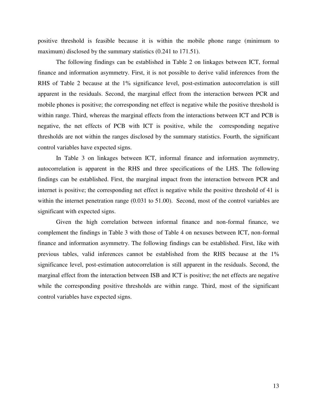positive threshold is feasible because it is within the mobile phone range (minimum to maximum) disclosed by the summary statistics (0.241 to 171.51).

 The following findings can be established in Table 2 on linkages between ICT, formal finance and information asymmetry. First, it is not possible to derive valid inferences from the RHS of Table 2 because at the 1% significance level, post-estimation autocorrelation is still apparent in the residuals. Second, the marginal effect from the interaction between PCR and mobile phones is positive; the corresponding net effect is negative while the positive threshold is within range. Third, whereas the marginal effects from the interactions between ICT and PCB is negative, the net effects of PCB with ICT is positive, while the corresponding negative thresholds are not within the ranges disclosed by the summary statistics. Fourth, the significant control variables have expected signs.

In Table 3 on linkages between ICT, informal finance and information asymmetry, autocorrelation is apparent in the RHS and three specifications of the LHS. The following findings can be established. First, the marginal impact from the interaction between PCR and internet is positive; the corresponding net effect is negative while the positive threshold of 41 is within the internet penetration range (0.031 to 51.00). Second, most of the control variables are significant with expected signs.

Given the high correlation between informal finance and non-formal finance, we complement the findings in Table 3 with those of Table 4 on nexuses between ICT, non-formal finance and information asymmetry. The following findings can be established. First, like with previous tables, valid inferences cannot be established from the RHS because at the 1% significance level, post-estimation autocorrelation is still apparent in the residuals. Second, the marginal effect from the interaction between ISB and ICT is positive; the net effects are negative while the corresponding positive thresholds are within range. Third, most of the significant control variables have expected signs.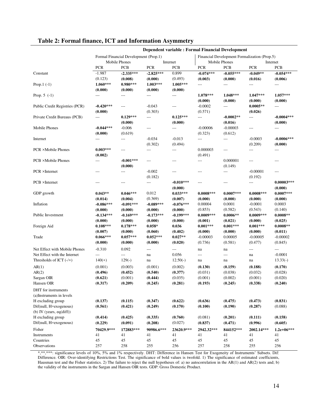|                                |                |                                       | <b>Dependent variable: Formal Financial Development</b> |                |                                              |                          |                |                          |  |  |
|--------------------------------|----------------|---------------------------------------|---------------------------------------------------------|----------------|----------------------------------------------|--------------------------|----------------|--------------------------|--|--|
|                                |                | Formal Financial Development (Prop.1) |                                                         |                | Financial Development Formalization (Prop.5) |                          |                |                          |  |  |
|                                | Mobile Phones  |                                       |                                                         | Internet       |                                              | Mobile Phones            |                | Internet                 |  |  |
|                                | <b>PCR</b>     | <b>PCB</b>                            | <b>PCR</b>                                              | <b>PCB</b>     | <b>PCR</b>                                   | <b>PCB</b>               | <b>PCR</b>     | <b>PCB</b>               |  |  |
| Constant                       | $-1.987$       | $-2.335***$                           | $-2.825***$                                             | 0.899          | $-0.074***$                                  | $-0.055***$              | $-0.049**$     | $-0.054***$              |  |  |
|                                | (0.123)        | (0.008)                               | (0.000)                                                 | (0.493)        | (0.003)                                      | (0.000)                  | (0.016)        | (0.006)                  |  |  |
| Prop. $1(-1)$                  | $1.060***$     | $0.980***$                            | $1.003***$                                              | $1.005***$     | $---$                                        | $\cdots$                 | $---$          | $\overline{\phantom{a}}$ |  |  |
|                                | (0.000)        | (0.000)                               | (0.000)                                                 | (0.000)        |                                              |                          |                |                          |  |  |
| Prop. $5(-1)$                  | ---            | $---$                                 | ---                                                     | $\cdots$       | $1.078***$                                   | $1.048***$               | $1.047***$     | $1.057***$               |  |  |
|                                |                |                                       |                                                         |                | (0.000)                                      | (0.000)                  | (0.000)        | (0.000)                  |  |  |
| Public Credit Registries (PCR) | $-0.420***$    | $---$                                 | $-0.043$                                                | $---$          | $-0.0002$                                    | $---$                    | $0.0005**$     | ---                      |  |  |
|                                | (0.000)        |                                       | (0.303)                                                 |                | (0.571)                                      |                          | (0.026)        |                          |  |  |
| Private Credit Bureaus (PCB)   | $\overline{a}$ | $0.129***$                            | $---$                                                   | $0.125***$     | $---$                                        | $-0.0002**$              | ---            | $-0.0004***$             |  |  |
|                                |                | (0.000)                               |                                                         | (0.000)        |                                              | (0.016)                  |                | (0.000)                  |  |  |
| Mobile Phones                  | $-0.044***$    | $-0.006$                              | $---$                                                   | $\cdots$       | $-0.00006$                                   | $-0.00003$               | $---$          | $\cdots$                 |  |  |
|                                | (0.000)        | (0.619)                               |                                                         |                | (0.323)                                      | (0.612)                  |                |                          |  |  |
| Internet                       | $---$          | ---                                   | $-0.034$                                                | $-0.013$       | ---                                          | $\cdots$                 | $-0.0003$      | $-0.0006***$             |  |  |
|                                |                |                                       | (0.302)                                                 | (0.494)        |                                              |                          | (0.209)        | (0.000)                  |  |  |
| PCR ×Mobile Phones             | $0.003***$     | ---                                   | ---                                                     | $\overline{a}$ | 0.000003                                     | $\overline{\phantom{a}}$ | $---$          | ---                      |  |  |
|                                | (0.002)        |                                       |                                                         |                | (0.491)                                      |                          |                |                          |  |  |
| PCB ×Mobile Phones             | $\overline{a}$ | $-0.001***$                           | $\overline{\phantom{a}}$                                | $---$          | ---                                          | 0.000001                 | $---$          | $---$                    |  |  |
|                                |                | (0.000)                               |                                                         |                |                                              | (0.149)                  |                |                          |  |  |
| PCR ×Internet                  | $---$          | ---                                   | $-0.002$                                                | $---$          | $---$                                        | $---$                    | $-0.00001$     | ---                      |  |  |
|                                |                |                                       | (0.182)                                                 |                |                                              |                          | (0.192)        |                          |  |  |
| PCB ×Internet                  | $---$          | $---$                                 | $\overline{\phantom{a}}$                                | $-0.010***$    | $---$                                        | ---                      | $\overline{a}$ | $0.00003***$             |  |  |
|                                |                |                                       |                                                         | (0.000)        |                                              |                          |                | (0.000)                  |  |  |
| GDP growth                     | $0.043**$      | $0.046***$                            | 0.012                                                   | $0.033***$     | $0.0008***$                                  | $0.0007***$              | $0.0008***$    | $0.0007***$              |  |  |
|                                | (0.014)        | (0.004)                               | (0.369)                                                 | (0.007)        | (0.000)                                      | (0.000)                  | (0.000)        | (0.000)                  |  |  |
| Inflation                      | $-0.086***$    | $-0.091***$                           | $-0.089***$                                             | $-0.076***$    | 0.00004                                      | 0.0001                   | $-0.0001$      | 0.0003                   |  |  |
|                                | (0.000)        | (0.000)                               | (0.000)                                                 | (0.000)        | (0.853)                                      | (0.582)                  | (0.543)        | (0.140)                  |  |  |
| Public Investment              | $-0.134***$    | $-0.169***$                           | $-0.173***$                                             | $-0.199***$    | $0.0009***$                                  | $0.0006**$               | $0.0009***$    | $0.0008**$               |  |  |
|                                | (0.000)        | (0.000)                               | (0.000)                                                 | (0.000)        | (0.001)                                      | (0.021)                  | (0.000)        | (0.025)                  |  |  |
| Foreign Aid                    | $0.108***$     | $0.178***$                            | $0.058*$                                                | 0.036          | $0.001***$                                   | $0.001***$               | $0.001***$     | $0.0008**$               |  |  |
|                                | (0.007)        | (0.000)                               | (0.060)                                                 | (0.402)        | (0.000)                                      | (0.000)                  | (0.000)        | (0.011)                  |  |  |
| Trade                          | $0.066***$     | $0.057***$                            | $0.052***$                                              | $0.027**$      | $-0.00003$                                   | 0.00005                  | $-0.00005$     | $-0.00002$               |  |  |
|                                | (0.000)        | (0.000)                               | (0.000)                                                 | (0.020)        | (0.736)                                      | (0.581)                  | (0.477)        | (0.845)                  |  |  |
| Net Effect with Mobile Phones  | $-0.310$       | 0.092                                 | $\overline{\phantom{a}}$                                | $\cdots$       | na                                           | na                       | $---$          | $---$                    |  |  |
| Net Effect with the Internet   | $\overline{a}$ | ---                                   | na                                                      | 0.056          | $---$                                        | $---$                    | na             | $-0.0001$                |  |  |
| Thresholds of ICT $(-/+)$      | $140(+)$       | $129(-)$                              | na                                                      | $12.50(-)$     | na                                           | na                       | na             | $13.33(-)$               |  |  |
| AR(1)                          | (0.001)        | (0.003)                               | (0.001)                                                 | (0.002)        | (0.130)                                      | (0.159)                  | (0.188)        | (0.170)                  |  |  |
| AR(2)                          | (0.496)        | (0.452)                               | (0.540)                                                 | (0.377)        | (0.031)                                      | (0.038)                  | (0.032)        | (0.028)                  |  |  |
| Sargan OIR                     | (0.621)        | (0.001)                               | (0.444)                                                 | (0.035)        | (0.001)                                      | (0.002)                  | (0.001)        | (0.020)                  |  |  |
| Hansen OIR                     | (0.317)        | (0.209)                               | (0.245)                                                 | (0.281)        | (0.193)                                      | (0.245)                  | (0.338)        | (0.240)                  |  |  |
| DHT for instruments            |                |                                       |                                                         |                |                                              |                          |                |                          |  |  |
| (a)Instruments in levels       |                |                                       |                                                         |                |                                              |                          |                |                          |  |  |
| H excluding group              | (0.137)        | (0.115)                               | (0.347)                                                 | (0.622)        | (0.636)                                      | (0.475)                  | (0.473)        | (0.831)                  |  |  |
| Dif(null, H=exogenous)         | (0.561)        | (0.421)                               | (0.249)                                                 | (0.170)        | (0.100)                                      | (0.190)                  | (0.287)        | (0.088)                  |  |  |
| (b) IV (years, $eq(diff)$ )    |                |                                       |                                                         |                |                                              |                          |                |                          |  |  |
| H excluding group              | (0.414)        | (0.425)                               | (0.335)                                                 | (0.760)        | (0.081)                                      | (0.201)                  | (0.111)        | (0.158)                  |  |  |
| Dif(null, H=exogenous)         | (0.229)        | (0.091)                               | (0.208)                                                 | (0.027)        | (0.837)                                      | (0.471)                  | (0.996)        | (0.605)                  |  |  |
| Fisher                         | 70429.9***     | 172883***                             | 90986.6***                                              | 23620.9***     | 2942.32***                                   | 844152***                | 2002.14***     | $1.2e+06***$             |  |  |
| Instruments                    | 41             | 41                                    | 41                                                      | 41             | 41                                           | 41                       | 41             | 41                       |  |  |
| Countries                      | 45             | 45                                    | 45                                                      | 45             | 45                                           | 45                       | 45             | 45                       |  |  |
| Observations                   | 257            | 258                                   | 255                                                     | 256            | 257                                          | 258                      | 255            | 256                      |  |  |
|                                |                |                                       |                                                         |                |                                              |                          |                |                          |  |  |

#### **Table 2: Formal finance, ICT and Information Asymmetry**

\*,\*\*,\*\*\*: significance levels of 10%, 5% and 1% respectively. DHT: Difference in Hansen Test for Exogeneity of Instruments' Subsets. Dif: Difference. OIR: Over-identifying Restrictions Test. The significance of bold values is twofold. 1) The significance of estimated coefficients, Hausman test and the Fisher statistics. 2) The failure to reject the null hypotheses of: a) no autocorrelation in the AR(1) and AR(2) tests and; b) the validity of the instruments in the Sargan and Hansen OIR tests. GDP: Gross Domestic Product.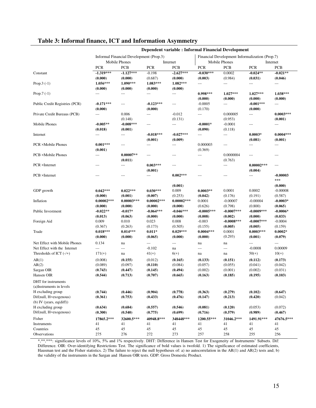|                                |                   |                                         | <b>Dependent variable : Informal Financial Development</b> |                          |                                                |                      |                |                |  |  |
|--------------------------------|-------------------|-----------------------------------------|------------------------------------------------------------|--------------------------|------------------------------------------------|----------------------|----------------|----------------|--|--|
|                                |                   | Informal Financial Development (Prop.3) |                                                            |                          | Financial Development Informalization (Prop.7) |                      |                |                |  |  |
|                                |                   | <b>Mobile Phones</b>                    |                                                            | Internet                 |                                                | <b>Mobile Phones</b> |                | Internet       |  |  |
|                                | <b>PCR</b>        | <b>PCB</b>                              | <b>PCR</b>                                                 | <b>PCB</b>               | <b>PCR</b>                                     | <b>PCB</b>           | <b>PCR</b>     | <b>PCB</b>     |  |  |
| Constant                       | $-1.319***$       | $-1.127***$                             | $-0.198$                                                   | $-2.627***$              | $-0.030***$                                    | 0.0002               | $-0.024**$     | $-0.021**$     |  |  |
|                                | (0.000)           | (0.000)                                 | (0.687)                                                    | (0.000)                  | (0.003)                                        | (0.984)              | (0.031)        | (0.046)        |  |  |
| Prop. $3(-1)$                  | $1.056***$        | 1.090***                                | 1.083***                                                   | $1.082***$               | $\overline{a}$                                 | $\qquad \qquad - -$  | $\overline{a}$ | $\overline{a}$ |  |  |
|                                | (0.000)           | (0.000)                                 | (0.000)                                                    | (0.000)                  |                                                |                      |                |                |  |  |
| Prop. $7(-1)$                  | $\qquad \qquad -$ | ---                                     | ---                                                        | ---                      | $0.998***$                                     | $1.027***$           | $1.027***$     | 1.038***       |  |  |
|                                |                   |                                         |                                                            |                          | (0.000)                                        | (0.000)              | (0.000)        | (0.000)        |  |  |
| Public Credit Registries (PCR) | $-0.171***$       | $\qquad \qquad -$                       | $-0.123***$                                                | $---$                    | $-0.0005$                                      | $\cdots$             | $-0.001***$    | ---            |  |  |
|                                | (0.000)           |                                         | (0.000)                                                    |                          | (0.170)                                        |                      | (0.000)        |                |  |  |
| Private Credit Bureaus (PCB)   | $---$             | 0.006                                   | ---                                                        | $-0.012$                 | $\overline{a}$                                 | 0.000005             | $\cdots$       | $0.0003***$    |  |  |
|                                |                   | (0.148)                                 |                                                            | (0.131)                  |                                                | (0.953)              |                | (0.001)        |  |  |
| Mobile Phones                  | $-0.005**$        | $-0.008***$                             | ---                                                        | $\overline{a}$           | $-0.0001*$                                     | $-0.0001$            | ---            | ---            |  |  |
|                                | (0.018)           | (0.001)                                 |                                                            |                          | (0.090)                                        | (0.118)              |                |                |  |  |
| Internet                       | ---               | ---                                     | $-0.018***$                                                | $-0.027***$              | ---                                            | $\cdots$             | $0.0003*$      | $0.0004***$    |  |  |
|                                |                   |                                         | (0.001)                                                    | (0.009)                  |                                                |                      | (0.081)        | (0.001)        |  |  |
| <b>PCR ×Mobile Phones</b>      | $0.001***$        | $---$                                   | $---$                                                      | $\overline{\phantom{a}}$ | 0.000003                                       | $\qquad \qquad - -$  | $-$            | ---            |  |  |
|                                | (0.001)           |                                         |                                                            |                          | (0.369)                                        |                      |                |                |  |  |
| <b>PCB ×Mobile Phones</b>      | $\overline{a}$    | $0.00007**$                             | ---                                                        | $---$                    | $\overline{a}$                                 | 0.0000004            | $---$          | ---            |  |  |
|                                |                   | (0.011)                                 |                                                            |                          |                                                | (0.763)              |                |                |  |  |
| PCR ×Internet                  | $\overline{a}$    | ---                                     | $0.003***$                                                 | ---                      | $---$                                          | $---$                | $0.00002***$   | $---$          |  |  |
|                                |                   |                                         | (0.001)                                                    |                          |                                                |                      | (0.004)        |                |  |  |
| <b>PCB</b> ×Internet           | $---$             | $---$                                   | ---                                                        | $0.002***$               | ---                                            | $---$                | ---            | $-0.00003$     |  |  |
|                                |                   |                                         |                                                            |                          |                                                |                      |                | ***            |  |  |
|                                |                   |                                         |                                                            | (0.001)                  |                                                |                      |                | (0.000)        |  |  |
| GDP growth                     | $0.042***$        | $0.022***$                              | $0.030***$                                                 | 0.009                    | $0.0003**$                                     | 0.0001               | 0.0002         | $-0.00008$     |  |  |
|                                | (0.000)           | (0.001)                                 | (0.007)                                                    | (0.253)                  | (0.042)                                        | (0.176)              | (0.191)        | (0.587)        |  |  |
| Inflation                      | $0.00002***$      | $0.00003***$                            | $0.00002***$                                               | $0.00002***$             | 0.0001                                         | $-0.00007$           | $-0.00004$     | $-0.0003*$     |  |  |
|                                | (0.000)           | (0.000)                                 | (0.000)                                                    | (0.000)                  | (0.626)                                        | (0.798)              | (0.800)        | (0.065)        |  |  |
| Public Investment              | $-0.022**$        | $-0.017*$                               | $-0.064***$                                                | $-0.046***$              | $-0.0005***$                                   | $-0.0007***$         | $-0.0009***$   | $-0.0006*$     |  |  |
|                                | (0.013)           | (0.063)                                 | (0.000)                                                    | (0.000)                  | (0.008)                                        | (0.002)              | (0.000)        | (0.033)        |  |  |
| Foreign Aid                    | 0.009             | 0.010                                   | 0.023                                                      | 0.008                    | $-0.003$                                       | $-0.0008***$         | $-0.0007***$   | $-0.0004$      |  |  |
|                                | (0.367)           | (0.263)                                 | (0.173)                                                    | (0.505)                  | (0.155)                                        | (0.005)              | (0.005)        | (0.159)        |  |  |
| Trade                          | $0.018***$        | $0.014***$                              | $0.011*$                                                   | $0.029***$               | $0.0004***$                                    | 0.0001               | $0.0003***$    | $0.0002*$      |  |  |
|                                | (0.000)           | (0.000)                                 | (0.065)                                                    | (0.000)                  | (0.000)                                        | (0.293)              | (0.001)        | (0.079)        |  |  |
| Net Effect with Mobile Phones  | 0.134             | na                                      | ---                                                        | ---                      | na                                             | na                   | $---$          | $---$          |  |  |
| Net Effect with the Internet   | $\overline{a}$    | ---                                     | $-0.102$                                                   | na                       | $\overline{\phantom{a}}$                       | $---$                | $-0.0008$      | 0.00009        |  |  |
| Thresholds of ICT $(-/+)$      | $171(+)$          | na                                      | $41(+)$                                                    | $6(+)$                   | na                                             | na                   | $50(+)$        | $10(+)$        |  |  |
| AR(1)                          | (0.008)           | (0.155)                                 | (0.012)                                                    | (0.165)                  | (0.133)                                        | (0.151)              | (0.112)        | (0.173)        |  |  |
| AR(2)                          | (0.089)           | (0.097)                                 | (0.110)                                                    | (0.084)                  | (0.057)                                        | (0.055)              | (0.041)        | (0.042)        |  |  |
| Sargan OIR                     | (0.743)           | (0.447)                                 | (0.145)                                                    | (0.494)                  | (0.002)                                        | (0.001)              | (0.002)        | (0.031)        |  |  |
| Hansen OIR                     | (0.544)           | (0.713)                                 | (0.707)                                                    | (0.665)                  | (0.163)                                        | (0.185)              | (0.195)        | (0.103)        |  |  |
| DHT for instruments            |                   |                                         |                                                            |                          |                                                |                      |                |                |  |  |
| (a)Instruments in levels       |                   |                                         |                                                            |                          |                                                |                      |                |                |  |  |
| H excluding group              | (0.744)           | (0.446)                                 | (0.904)                                                    | (0.778)                  | (0.363)                                        | (0.279)              | (0.102)        | (0.647)        |  |  |
| Dif(null, H=exogenous)         | (0.361)           | (0.753)                                 | (0.433)                                                    | (0.476)                  | (0.147)                                        | (0.213)              | (0.420)        | (0.042)        |  |  |
| (b) IV (years, $eq(diff)$ )    |                   |                                         |                                                            |                          |                                                |                      |                |                |  |  |
| H excluding group              | (0.634)           | (0.684)                                 | (0.557)                                                    | (0.546)                  | (0.081)                                        | (0.120)              | (0.053)        | (0.072)        |  |  |
| Dif(null, H=exogenous)         | (0.300)           | (0.540)                                 | (0.775)                                                    | (0.699)                  | (0.716)                                        | (0.579)              | (0.989)        | (0.467)        |  |  |
|                                |                   |                                         |                                                            | 348448***                |                                                |                      |                |                |  |  |
| Fisher                         | 17865.2***        | 32600.5***                              | 40948.8***                                                 |                          | 1200.55***                                     | 31046.2***           | 1491.91***     | 47676.5***     |  |  |
| Instruments                    | 41                | 41                                      | 41                                                         | 41                       | 41                                             | 41                   | 41             | 41             |  |  |
| Countries<br>Observations      | 45<br>275         | 45                                      | 45<br>272                                                  | 45                       | 45                                             | 45                   | 45             | 45             |  |  |
|                                |                   | 276                                     |                                                            | 273                      | 257                                            | 258                  | 255            | 256            |  |  |

#### **Table 3: Informal finance, ICT and Information Asymmetry**

\*,\*\*\*\*: significance levels of 10%, 5% and 1% respectively. DHT: Difference in Hansen Test for Exogeneity of Instruments' Subsets. Dif: Difference. OIR: Over-identifying Restrictions Test. The significance of bold values is twofold. 1) The significance of estimated coefficients, Hausman test and the Fisher statistics. 2) The failure to reject the null hypotheses of: a) no autocorrelation in the AR(1) and AR(2) tests and; b) the validity of the instruments in the Sargan and Hansen OIR tests. GDP: Gross Domestic Product.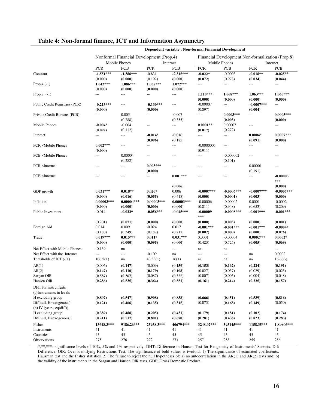|                                                 | Dependent variable : Non-formal Financial Development |                                          |                            |                          |                                                  |                                     |                        |                       |  |  |
|-------------------------------------------------|-------------------------------------------------------|------------------------------------------|----------------------------|--------------------------|--------------------------------------------------|-------------------------------------|------------------------|-----------------------|--|--|
|                                                 |                                                       | Nonformal Financial Development (Prop.4) |                            |                          | Financial Development Non-formalization (Prop.8) |                                     |                        |                       |  |  |
|                                                 |                                                       | Mobile Phones                            |                            | Internet                 |                                                  | Mobile Phones                       |                        | Internet              |  |  |
|                                                 | <b>PCR</b>                                            | <b>PCB</b>                               | <b>PCR</b>                 | <b>PCB</b>               | <b>PCR</b>                                       | <b>PCB</b>                          | <b>PCR</b>             | <b>PCB</b>            |  |  |
| Constant                                        | $-1.551***$                                           | $-1.386***$                              | $-0.831$                   | $-2.315***$              | $-0.022*$                                        | $-0.0003$                           | $-0.018**$             | $-0.025**$            |  |  |
|                                                 | (0.000)                                               | (0.000)                                  | (0.192)                    | (0.000)                  | (0.072)                                          | (0.978)                             | (0.034)                | (0.044)               |  |  |
| Prop. $4(-1)$                                   | $1.043***$                                            | 1.086***                                 | 1.058***                   | $1.072***$               | $---$                                            | $\qquad \qquad -$                   | $\cdots$               | $---$                 |  |  |
|                                                 | (0.000)                                               | (0.000)                                  | (0.000)                    | (0.000)                  |                                                  |                                     |                        |                       |  |  |
| Prop.8 $(-1)$                                   | ---                                                   | ---                                      | $\overline{a}$             | $\overline{\phantom{a}}$ | 1.118***                                         | 1.068***                            | $1.063***$             | $1.060***$            |  |  |
|                                                 |                                                       |                                          |                            |                          | (0.000)                                          | (0.000)                             | (0.000)                | (0.000)               |  |  |
| Public Credit Registries (PCR)                  | $-0.213***$                                           | $\scriptstyle\cdots$                     | $-0.130***$                | $\qquad \qquad - -$      | $-0.00007$                                       | $\overline{\phantom{a}}$            | $-0.0007***$           | ---                   |  |  |
|                                                 | (0.000)                                               |                                          | (0.000)                    |                          | (0.897)                                          |                                     | (0.004)                |                       |  |  |
| Private Credit Bureaus (PCB)                    | ---                                                   | 0.005                                    | $\overline{a}$             | $-0.007$                 | $\overline{a}$                                   | $0.0003***$                         | ---                    | $0.0005***$           |  |  |
|                                                 |                                                       | (0.288)                                  |                            | (0.355)                  |                                                  | (0.003)                             |                        | (0.000)               |  |  |
| Mobile Phones                                   | $-0.004*$                                             | $-0.004$                                 | $\cdots$                   | $---$                    | $0.0001**$                                       | 0.00007                             | $---$                  | $\overline{a}$        |  |  |
| Internet                                        | (0.092)<br>---                                        | (0.112)<br>---                           | $-0.014*$                  | $-0.016$                 | (0.017)<br>$\cdots$                              | (0.272)<br>$\overline{\phantom{a}}$ | $0.0004*$              | $0.0007***$           |  |  |
|                                                 |                                                       |                                          | (0.096)                    | (0.185)                  |                                                  |                                     | (0.091)                | (0.000)               |  |  |
| PCR ×Mobile Phones                              | $0.002***$                                            | ---                                      | $---$                      | $\qquad \qquad -$        | $-0.0000005$                                     | ---                                 | $---$                  | ---                   |  |  |
|                                                 | (0.000)                                               |                                          |                            |                          | (0.911)                                          |                                     |                        |                       |  |  |
| <b>PCB ×Mobile Phones</b>                       | $\overline{\phantom{a}}$                              | 0.00004                                  | $---$                      | $---$                    | $\cdots$                                         | $-0.000002$                         | $---$                  | ---                   |  |  |
|                                                 |                                                       | (0.282)                                  |                            |                          |                                                  | (0.101)                             |                        |                       |  |  |
| PCR ×Internet                                   | ---                                                   | ---                                      | $0.003***$                 | $---$                    | ---                                              | $\overline{a}$                      | 0.00001                | ---                   |  |  |
|                                                 |                                                       |                                          | (0.000)                    |                          |                                                  |                                     | (0.191)                |                       |  |  |
| PCB ×Internet                                   | ---                                                   | ---                                      | $\overline{a}$             | $0.001***$               | ---                                              | ---                                 | ---                    | -0.00003              |  |  |
|                                                 |                                                       |                                          |                            |                          |                                                  |                                     |                        | ***                   |  |  |
|                                                 |                                                       |                                          |                            | (0.006)                  |                                                  |                                     |                        | (0.000)               |  |  |
| GDP growth                                      | $0.031***$                                            | $0.018**$                                | $0.020*$                   | 0.006                    | $-0.0007***$                                     | $-0.0006***$                        | $-0.0007***$           | $-0.0007***$          |  |  |
|                                                 | (0.000)                                               | (0.016)                                  | (0.055)                    | (0.418)                  | (0.000)                                          | (0.0001)                            | (0.003)                | (0.000)               |  |  |
| Inflation                                       | $0.00003***$                                          | $0.00004***$                             | $0.00003***$               | $0.00003***$             | $-0.00006$                                       | $-0.00002$                          | 0.0001                 | $-0.0002$             |  |  |
|                                                 | (0.000)                                               | (0.000)                                  | (0.000)                    | (0.000)                  | (0.811)                                          | (0.948)                             | (0.653)                | (0.209)               |  |  |
| Public Investment                               | $-0.014$                                              | $-0.022*$                                | $-0.056***$                | $-0.045***$              | $-0.00009$                                       | $-0.0008***$                        | $-0.001***$            | $-0.001***$           |  |  |
|                                                 |                                                       |                                          |                            |                          | $***$                                            |                                     |                        |                       |  |  |
|                                                 | (0.201)                                               | (0.071)                                  | (0.000)                    | (0.000)                  | (0.000)                                          | (0.005)                             | (0.000)                | (0.001)               |  |  |
| Foreign Aid                                     | 0.014<br>(0.180)                                      | 0.009<br>(0.349)                         | $-0.024$<br>(0.182)        | 0.017<br>(0.217)         | $-0.001***$<br>(0.002)                           | $-0.001***$<br>(0.000)              | $-0.001***$<br>(0.000) | $-0.0004*$<br>(0.076) |  |  |
| Trade                                           | $0.019***$                                            | $0.015***$                               | $0.011*$                   | $0.031***$               | 0.0001                                           | $-0.00004$                          | $0.0002***$            | $0.0002*$             |  |  |
|                                                 | (0.000)                                               | (0.000)                                  | (0.095)                    | (0.000)                  | (0.423)                                          | (0.725)                             | (0.005)                | (0.069)               |  |  |
| Net Effect with Mobile Phones                   | $-0.139$                                              |                                          |                            |                          |                                                  |                                     |                        | $---$                 |  |  |
| Net Effect with the Internet                    | ---                                                   | na<br>$\scriptstyle\cdots$               | $\overline{a}$<br>$-0.109$ | $\overline{a}$           | na<br>$\overline{\phantom{a}}$                   | na<br>$\overline{\phantom{a}}$      | $-$<br>na              | 0.0002                |  |  |
| Thresholds of ICT $(-/+)$                       | $106.5(+)$                                            | na                                       | $43.33(+)$                 | na<br>$16(+)$            | na                                               | na                                  | na                     | $16.66(-)$            |  |  |
|                                                 |                                                       |                                          |                            |                          |                                                  |                                     |                        |                       |  |  |
| AR(1)<br>AR(2)                                  | (0.006)                                               | (0.147)                                  | (0.009)                    | (0.159)                  | (0.153)                                          | (0.162)                             | (0.224)<br>(0.029)     | (0.191)<br>(0.025)    |  |  |
|                                                 | (0.147)<br>(0.587)                                    | (0.110)<br>(0.367)                       | (0.179)<br>(0.087)         | (0.108)<br>(0.325)       | (0.027)<br>(0.007)                               | (0.037)<br>(0.005)                  | (0.004)                | (0.048)               |  |  |
| Sargan OIR<br>Hansen OIR                        | (0.286)                                               | (0.535)                                  | (0.364)                    | (0.551)                  | (0.161)                                          | (0.214)                             | (0.225)                | (0.157)               |  |  |
|                                                 |                                                       |                                          |                            |                          |                                                  |                                     |                        |                       |  |  |
| DHT for instruments<br>(a)Instruments in levels |                                                       |                                          |                            |                          |                                                  |                                     |                        |                       |  |  |
| H excluding group                               | (0.807)                                               | (0.547)                                  | (0.908)                    | (0.838)                  | (0.666)                                          | (0.451)                             | (0.539)                | (0.816)               |  |  |
| Dif(null, H=exogenous)                          | (0.121)                                               | (0.466)                                  | (0.135)                    | (0.315)                  | (0.073)                                          | (0.168)                             | (0.149)                | (0.050)               |  |  |
| (b) IV (years, $eq(diff)$ )                     |                                                       |                                          |                            |                          |                                                  |                                     |                        |                       |  |  |
| H excluding group                               | (0.389)                                               | (0.488)                                  | (0.205)                    | (0.431)                  | (0.179)                                          | (0.181)                             | (0.102)                | (0.174)               |  |  |
| Dif(null, H=exogenous)                          | (0.211)                                               | (0.517)                                  | (0.801)                    | (0.670)                  | (0.281)                                          | (0.438)                             | (0.823)                | (0.283)               |  |  |
| Fisher                                          | 13648.3***                                            | 9186.26***                               | 25938.3***                 | 406794***                | 3248.02***                                       | 593145***                           | 1158.35***             | $1.8e+06***$          |  |  |
| Instruments                                     | 41                                                    | 41                                       | 41                         | 41                       | 41                                               | 41                                  | 41                     | 41                    |  |  |
| Countries                                       | 45                                                    | 45                                       | 45                         | 45                       | 45                                               | 45                                  | 45                     | 45                    |  |  |
| Observations                                    | 275                                                   | 276                                      | 272                        | 273                      | 257                                              | 258                                 | 255                    | 256                   |  |  |
|                                                 |                                                       |                                          |                            |                          |                                                  |                                     |                        |                       |  |  |

#### **Table 4: Non-formal finance, ICT and Information Asymmetry**

\*,\*\*,\*\*\*: significance levels of 10%, 5% and 1% respectively. DHT: Difference in Hansen Test for Exogeneity of Instruments' Subsets. Dif: Difference. OIR: Over-identifying Restrictions Test. The significance of bold values is twofold. 1) The significance of estimated coefficients, Hausman test and the Fisher statistics. 2) The failure to reject the null hypotheses of: a) no autocorrelation in the AR(1) and AR(2) tests and; b) the validity of the instruments in the Sargan and Hansen OIR tests. GDP: Gross Domestic Product.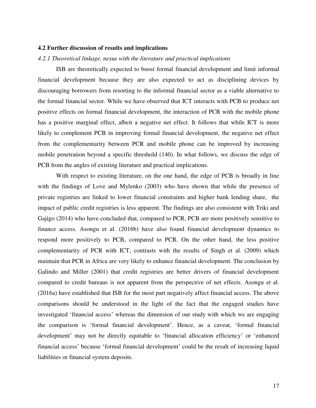#### **4.2 Further discussion of results and implications**

#### *4.2.1 Theoretical linkage, nexus with the literature and practical implications*

 ISB are theoretically expected to boost formal financial development and limit informal financial development because they are also expected to act as disciplining devices by discouraging borrowers from resorting to the informal financial sector as a viable alternative to the formal financial sector. While we have observed that ICT interacts with PCB to produce net positive effects on formal financial development, the interaction of PCR with the mobile phone has a positive marginal effect, albeit a negative net effect. It follows that while ICT is more likely to complement PCB in improving formal financial development, the negative net effect from the complementarity between PCR and mobile phone can be improved by increasing mobile penetration beyond a specific threshold (140). In what follows, we discuss the edge of PCB from the angles of existing literature and practical implications.

 With respect to existing literature, on the one hand, the edge of PCB is broadly in line with the findings of Love and Mylenko (2003) who have shown that while the presence of private registries are linked to lower financial constraints and higher bank lending share, the impact of public credit registries is less apparent. The findings are also consistent with Triki and Gajigo (2014) who have concluded that, compared to PCR, PCB are more positively sensitive to finance access. Asongu et al. (2016b) have also found financial development dynamics to respond more positively to PCB, compared to PCR. On the other hand, the less positive complementarity of PCR with ICT, contrasts with the results of Singh et al. (2009) which maintain that PCR in Africa are very likely to enhance financial development. The conclusion by Galindo and Miller (2001) that credit registries are better drivers of financial development compared to credit bureaus is not apparent from the perspective of net effects. Asongu et al. (2016a) have established that ISB for the most part negatively affect financial access. The above comparisons should be understood in the light of the fact that the engaged studies have investigated 'financial access' whereas the dimension of our study with which we are engaging the comparison is 'formal financial development'. Hence, as a caveat, 'formal financial development' may not be directly equitable to 'financial allocation efficiency' or 'enhanced financial access' because 'formal financial development' could be the result of increasing liquid liabilities or financial system deposits.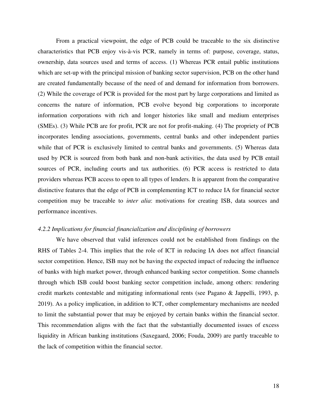From a practical viewpoint, the edge of PCB could be traceable to the six distinctive characteristics that PCB enjoy vis-à-vis PCR, namely in terms of: purpose, coverage, status, ownership, data sources used and terms of access. (1) Whereas PCR entail public institutions which are set-up with the principal mission of banking sector supervision, PCB on the other hand are created fundamentally because of the need of and demand for information from borrowers. (2) While the coverage of PCR is provided for the most part by large corporations and limited as concerns the nature of information, PCB evolve beyond big corporations to incorporate information corporations with rich and longer histories like small and medium enterprises (SMEs). (3) While PCB are for profit, PCR are not for profit-making. (4) The propriety of PCB incorporates lending associations, governments, central banks and other independent parties while that of PCR is exclusively limited to central banks and governments. (5) Whereas data used by PCR is sourced from both bank and non-bank activities, the data used by PCB entail sources of PCR, including courts and tax authorities. (6) PCR access is restricted to data providers whereas PCB access to open to all types of lenders. It is apparent from the comparative distinctive features that the edge of PCB in complementing ICT to reduce IA for financial sector competition may be traceable to *inter alia*: motivations for creating ISB, data sources and performance incentives.

#### *4.2.2 Implications for financial financialization and disciplining of borrowers*

 We have observed that valid inferences could not be established from findings on the RHS of Tables 2-4. This implies that the role of ICT in reducing IA does not affect financial sector competition. Hence, ISB may not be having the expected impact of reducing the influence of banks with high market power, through enhanced banking sector competition. Some channels through which ISB could boost banking sector competition include, among others: rendering credit markets contestable and mitigating informational rents (see Pagano & Jappelli, 1993, p. 2019). As a policy implication, in addition to ICT, other complementary mechanisms are needed to limit the substantial power that may be enjoyed by certain banks within the financial sector. This recommendation aligns with the fact that the substantially documented issues of excess liquidity in African banking institutions (Saxegaard, 2006; Fouda, 2009) are partly traceable to the lack of competition within the financial sector.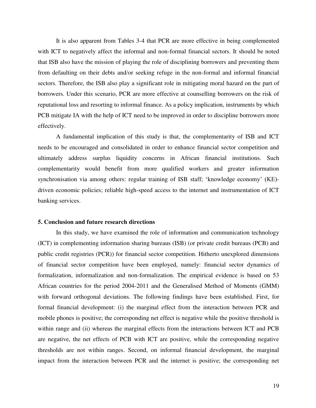It is also apparent from Tables 3-4 that PCR are more effective in being complemented with ICT to negatively affect the informal and non-formal financial sectors. It should be noted that ISB also have the mission of playing the role of disciplining borrowers and preventing them from defaulting on their debts and/or seeking refuge in the non-formal and informal financial sectors. Therefore, the ISB also play a significant role in mitigating moral hazard on the part of borrowers. Under this scenario, PCR are more effective at counselling borrowers on the risk of reputational loss and resorting to informal finance. As a policy implication, instruments by which PCB mitigate IA with the help of ICT need to be improved in order to discipline borrowers more effectively.

 A fundamental implication of this study is that, the complementarity of ISB and ICT needs to be encouraged and consolidated in order to enhance financial sector competition and ultimately address surplus liquidity concerns in African financial institutions. Such complementarity would benefit from more qualified workers and greater information synchronisation via among others: regular training of ISB staff; 'knowledge economy' (KE) driven economic policies; reliable high-speed access to the internet and instrumentation of ICT banking services.

#### **5. Conclusion and future research directions**

In this study, we have examined the role of information and communication technology (ICT) in complementing information sharing bureaus (ISB) (or private credit bureaus (PCB) and public credit registries (PCR)) for financial sector competition. Hitherto unexplored dimensions of financial sector competition have been employed, namely: financial sector dynamics of formalization, informalization and non-formalization. The empirical evidence is based on 53 African countries for the period 2004-2011 and the Generalised Method of Moments (GMM) with forward orthogonal deviations. The following findings have been established. First, for formal financial development: (i) the marginal effect from the interaction between PCR and mobile phones is positive; the corresponding net effect is negative while the positive threshold is within range and (ii) whereas the marginal effects from the interactions between ICT and PCB are negative, the net effects of PCB with ICT are positive, while the corresponding negative thresholds are not within ranges. Second, on informal financial development, the marginal impact from the interaction between PCR and the internet is positive; the corresponding net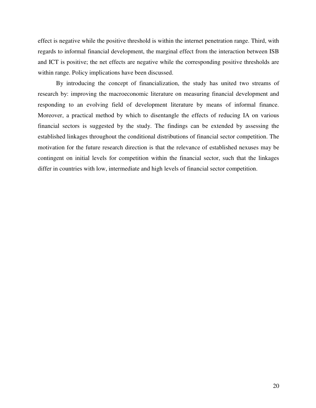effect is negative while the positive threshold is within the internet penetration range. Third, with regards to informal financial development, the marginal effect from the interaction between ISB and ICT is positive; the net effects are negative while the corresponding positive thresholds are within range. Policy implications have been discussed.

 By introducing the concept of financialization, the study has united two streams of research by: improving the macroeconomic literature on measuring financial development and responding to an evolving field of development literature by means of informal finance. Moreover, a practical method by which to disentangle the effects of reducing IA on various financial sectors is suggested by the study. The findings can be extended by assessing the established linkages throughout the conditional distributions of financial sector competition. The motivation for the future research direction is that the relevance of established nexuses may be contingent on initial levels for competition within the financial sector, such that the linkages differ in countries with low, intermediate and high levels of financial sector competition.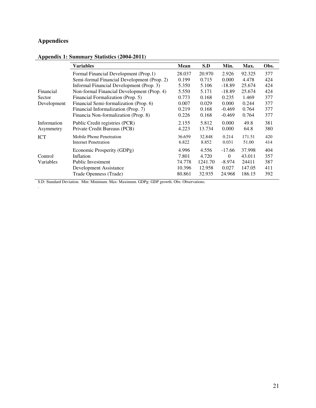## **Appendices**

.

#### **Appendix 1: Summary Statistics (2004-2011)**

|             | <b>Variables</b>                            | Mean   | S.D     | Min.     | Max.   | Obs. |
|-------------|---------------------------------------------|--------|---------|----------|--------|------|
|             | Formal Financial Development (Prop.1)       | 28.037 | 20.970  | 2.926    | 92.325 | 377  |
|             | Semi-formal Financial Development (Prop. 2) | 0.199  | 0.715   | 0.000    | 4.478  | 424  |
|             | Informal Financial Development (Prop. 3)    | 5.350  | 5.106   | $-18.89$ | 25.674 | 424  |
| Financial   | Non-formal Financial Development (Prop. 4)  | 5.550  | 5.171   | $-18.89$ | 25.674 | 424  |
| Sector      | Financial Formalization (Prop. 5)           | 0.773  | 0.168   | 0.235    | 1.469  | 377  |
| Development | Financial Semi-formalization (Prop. 6)      | 0.007  | 0.029   | 0.000    | 0.244  | 377  |
|             | Financial Informalization (Prop. 7)         | 0.219  | 0.168   | $-0.469$ | 0.764  | 377  |
|             | Financia Non-formalization (Prop. 8)        | 0.226  | 0.168   | $-0.469$ | 0.764  | 377  |
| Information | Public Credit registries (PCR)              | 2.155  | 5.812   | 0.000    | 49.8   | 381  |
| Asymmetry   | Private Credit Bureaus (PCB)                | 4.223  | 13.734  | 0.000    | 64.8   | 380  |
| <b>ICT</b>  | Mobile Phone Penetration                    | 36.659 | 32.848  | 0.214    | 171.51 | 420  |
|             | Internet Penetration                        | 6.822  | 8.852   | 0.031    | 51.00  | 414  |
|             | Economic Prosperity (GDPg)                  | 4.996  | 4.556   | $-17.66$ | 37.998 | 404  |
| Control     | Inflation                                   | 7.801  | 4.720   | $\Omega$ | 43.011 | 357  |
| Variables   | <b>Public Investment</b>                    | 74.778 | 1241.70 | $-8.974$ | 24411  | 387  |
|             | Development Assistance                      | 10.396 | 12.958  | 0.027    | 147.05 | 411  |
|             | Trade Openness (Trade)                      | 80.861 | 32.935  | 24.968   | 186.15 | 392  |

S.D: Standard Deviation. Min: Minimum. Max: Maximum. GDPg: GDP growth. Obs: Observations.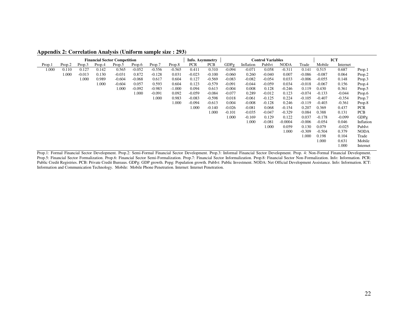| i                                   |        |          |        |          |          |                 |          |                          |            |            |           |          |             |          |          |          |             |
|-------------------------------------|--------|----------|--------|----------|----------|-----------------|----------|--------------------------|------------|------------|-----------|----------|-------------|----------|----------|----------|-------------|
| <b>Financial Sector Competition</b> |        |          |        |          |          | Info. Asymmetry |          | <b>Control Variables</b> |            | <b>ICT</b> |           |          |             |          |          |          |             |
| Prop.1                              | Prop.2 | Prop.3   | Prop.4 | Prop.5   | Prop.6   | Prop.7          | Prop.8   | <b>PCR</b>               | <b>PCB</b> | GDPg       | Inflation | PubIvt   | <b>NODA</b> | Trade    | Mobile   | Internet |             |
| 1.000                               | 0.110  | 0.127    | 0.142  | 0.565    | $-0.052$ | $-0.556$        | $-0.565$ | 0.411                    | 0.310      | $-0.094$   | $-0.071$  | 0.058    | $-0.311$    | 0.141    | 0.515    | 0.687    | Prop.1      |
|                                     | 1.000  | $-0.013$ | 0.130  | $-0.031$ | 0.872    | $-0.128$        | 0.031    | $-0.023$                 | $-0.100$   | $-0.060$   | 0.260     | $-0.040$ | 0.007       | $-0.086$ | $-0.087$ | 0.064    | Prop.2      |
|                                     |        | 1.000    | 0.989  | $-0.604$ | $-0.068$ | 0.617           | 0.604    | 0.127                    | $-0.569$   | $-0.083$   | $-0.082$  | $-0.054$ | 0.033       | $-0.006$ | $-0.055$ | 0.148    | Prop.3      |
|                                     |        |          | 1.000  | $-0.604$ | 0.057    | 0.593           | 0.604    | 0.123                    | $-0.579$   | $-0.091$   | $-0.044$  | $-0.059$ | 0.034       | $-0.018$ | $-0.067$ | 0.156    | Prop.4      |
|                                     |        |          |        | 1.000    | $-0.092$ | $-0.983$        | $-1.000$ | 0.094                    | 0.613      | $-0.004$   | 0.008     | 0.128    | $-0.246$    | 0.119    | 0.430    | 0.361    | Prop.5      |
|                                     |        |          |        |          | 1.000    | $-0.091$        | 0.092    | $-0.059$                 | $-0.084$   | $-0.077$   | 0.289     | $-0.012$ | 0.123       | $-0.074$ | $-0.133$ | $-0.044$ | Prop.6      |
|                                     |        |          |        |          |          | 1.000           | 0.983    | $-0.083$                 | $-0.598$   | 0.018      | $-0.061$  | $-0.125$ | 0.224       | $-0.105$ | $-0.407$ | $-0.354$ | Prop.7      |
|                                     |        |          |        |          |          |                 | 1.000    | $-0.094$                 | $-0.613$   | 0.004      | $-0.008$  | $-0.128$ | 0.246       | $-0.119$ | $-0.403$ | $-0.361$ | Prop.8      |
|                                     |        |          |        |          |          |                 |          | 1.000                    | $-0.140$   | $-0.026$   | $-0.081$  | 0.068    | $-0.154$    | 0.207    | 0.369    | 0.437    | <b>PCR</b>  |
|                                     |        |          |        |          |          |                 |          |                          | 1.000      | $-0.101$   | $-0.035$  | $-0.047$ | $-0.329$    | 0.084    | 0.388    | 0.131    | <b>PCB</b>  |
|                                     |        |          |        |          |          |                 |          |                          |            | 1.000      | $-0.169$  | 0.129    | 0.122       | 0.037    | $-0.178$ | $-0.099$ | GDPg        |
|                                     |        |          |        |          |          |                 |          |                          |            |            | 1.000     | $-0.081$ | $-0.0004$   | $-0.006$ | $-0.054$ | 0.046    | Inflation   |
|                                     |        |          |        |          |          |                 |          |                          |            |            |           | 1.000    | 0.059       | 0.130    | 0.079    | $-0.025$ | PubIvt      |
|                                     |        |          |        |          |          |                 |          |                          |            |            |           |          | 1.000       | $-0.309$ | $-0.504$ | 0.379    | <b>NODA</b> |
|                                     |        |          |        |          |          |                 |          |                          |            |            |           |          |             | 1.000    | 0.198    | 0.104    | Trade       |
|                                     |        |          |        |          |          |                 |          |                          |            |            |           |          |             |          | 1.000    | 0.631    | Mobile      |
|                                     |        |          |        |          |          |                 |          |                          |            |            |           |          |             |          |          | 1.000    | Internet    |
|                                     |        |          |        |          |          |                 |          |                          |            |            |           |          |             |          |          |          |             |

**Appendix 2: Correlation Analysis (Uniform sample size : 293)** 

Prop.1: Formal Financial Sector Development. Prop.2: Semi-Formal Financial Sector Development. Prop.3: Informal Financial Sector Development. Prop. 4: Non-Formal Financial Development. Prop.5: Financial Sector Formalization. Prop.6: Financial Sector Semi-Formalization. Prop.7: Financial Sector Informalization. Prop.8: Financial Sector Non-Formalization. Info: Information. PCR: Public Credit Registries. PCB: Private Credit Bureaus. GDPg: GDP growth. Popg: Population growth. PubIvt: Public Investment. NODA: Net Official Development Assistance. Info: Information. ICT: Information and Communication Technology. Mobile: Mobile Phone Penetration. Internet: Internet Penetration.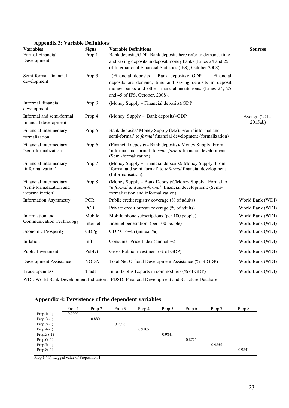| $\Delta$ ppenui $\lambda$ . valiable Definitions<br><b>Variables</b>  | <b>Signs</b>          | <b>Variable Definitions</b>                                                                                                                                                                                          | <b>Sources</b>           |
|-----------------------------------------------------------------------|-----------------------|----------------------------------------------------------------------------------------------------------------------------------------------------------------------------------------------------------------------|--------------------------|
| Formal Financial<br>Development                                       | Prop.1                | Bank deposits/GDP. Bank deposits here refer to demand, time<br>and saving deposits in deposit money banks (Lines 24 and 25<br>of International Financial Statistics (IFS); October 2008).                            |                          |
| Semi-formal financial<br>development                                  | Prop.3                | (Financial deposits - Bank deposits)/ GDP.<br>Financial<br>deposits are demand, time and saving deposits in deposit<br>money banks and other financial institutions. (Lines 24, 25<br>and 45 of IFS, October, 2008). |                          |
| Informal financial<br>development                                     | Prop.3                | (Money Supply – Financial deposits)/GDP                                                                                                                                                                              |                          |
| Informal and semi-formal<br>financial development                     | Prop.4                | (Money Supply – Bank deposits)/GDP                                                                                                                                                                                   | Asongu (2014;<br>2015ab) |
| Financial intermediary<br>formalization                               | Prop.5                | Bank deposits/ Money Supply (M2). From 'informal and<br>semi-formal' to <i>formal</i> financial development (formalization)                                                                                          |                          |
| Financial intermediary<br>'semi-formalization'                        | Prop.6                | (Financial deposits - Bank deposits)/ Money Supply. From<br>'informal and formal' to semi-formal financial development<br>(Semi-formalization)                                                                       |                          |
| Financial intermediary<br>'informalization'                           | Prop.7                | (Money Supply – Financial deposits)/ Money Supply. From<br>'formal and semi-formal' to <i>informal</i> financial development<br>(Informalisation).                                                                   |                          |
| Financial intermediary<br>'semi-formalization and<br>informalization' | Prop.8                | (Money Supply – Bank Deposits)/Money Supply. Formal to<br>'informal and semi-formal' financial development: (Semi-<br>formalization and informalization).                                                            |                          |
| <b>Information Asymmetry</b>                                          | <b>PCR</b>            | Public credit registry coverage (% of adults)                                                                                                                                                                        | World Bank (WDI)         |
|                                                                       | <b>PCB</b>            | Private credit bureau coverage (% of adults)                                                                                                                                                                         | World Bank (WDI)         |
| Information and                                                       | Mobile                | Mobile phone subscriptions (per 100 people)                                                                                                                                                                          | World Bank (WDI)         |
| <b>Communication Technology</b>                                       | Internet              | Internet penetration (per 100 people)                                                                                                                                                                                | World Bank (WDI)         |
| <b>Economic Prosperity</b>                                            | GDPg                  | GDP Growth (annual %)                                                                                                                                                                                                | World Bank (WDI)         |
| Inflation                                                             | Infl                  | Consumer Price Index (annual %)                                                                                                                                                                                      | World Bank (WDI)         |
| Public Investment                                                     | PubIvt                | Gross Public Investment (% of GDP)                                                                                                                                                                                   | World Bank (WDI)         |
| Development Assistance                                                | <b>NODA</b>           | Total Net Official Development Assistance (% of GDP)                                                                                                                                                                 | World Bank (WDI)         |
| Trade openness<br>WINL W. 11D. 1D. 1                                  | Trade<br>$\mathbf{T}$ | Imports plus Exports in commodities (% of GDP)                                                                                                                                                                       | World Bank (WDI)         |

**Appendix 3: Variable Definitions** 

WDI: World Bank Development Indicators. FDSD: Financial Development and Structure Database.

### **Appendix 4: Persistence of the dependent variables**

|               | Prop.1 | Prop.2 | Prop.3 | Prop.4 | Prop.5 | Prop.6 | Prop.7 | Prop.8 |
|---------------|--------|--------|--------|--------|--------|--------|--------|--------|
| Prop. $1(-1)$ | 0.9900 |        |        |        |        |        |        |        |
| Prop. $2(-1)$ |        | 0.8801 |        |        |        |        |        |        |
| Prop. $3(-1)$ |        |        | 0.9096 |        |        |        |        |        |
| $Prop.4(-1)$  |        |        |        | 0.9105 |        |        |        |        |
| Prop. $5(-1)$ |        |        |        |        | 0.9841 |        |        |        |
| Prop. $6(-1)$ |        |        |        |        |        | 0.8775 |        |        |
| Prop. $7(-1)$ |        |        |        |        |        |        | 0.9855 |        |
| Prop. $8(-1)$ |        |        |        |        |        |        |        | 0.9841 |

Prop.1 (-1): Lagged value of Proposition 1.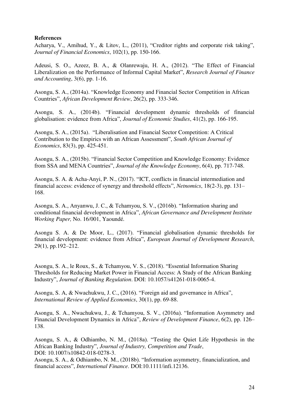#### **References**

Acharya, V., Amihud, Y., & Litov, L., (2011), "Creditor rights and corporate risk taking", *Journal of Financial Economics*, 102(1), pp. 150-166.

Adeusi, S. O., Azeez, B. A., & Olanrewaju, H. A., (2012). "The Effect of Financial Liberalization on the Performance of Informal Capital Market", *Research Journal of Finance and Accounting*, 3(6), pp. 1-16.

Asongu, S. A., (2014a). "Knowledge Economy and Financial Sector Competition in African Countries", *African Development Review*, 26(2), pp. 333-346.

Asongu, S. A., (2014b). "Financial development dynamic thresholds of financial globalisation: evidence from Africa", *Journal of Economic Studies*, 41(2), pp. 166-195.

Asongu, S. A., (2015a). "Liberalisation and Financial Sector Competition: A Critical Contribution to the Empirics with an African Assessment", *South African Journal of Economics*, 83(3), pp. 425-451.

Asongu, S. A., (2015b). "Financial Sector Competition and Knowledge Economy: Evidence from SSA and MENA Countries", *Journal of the Knowledge Economy*, 6(4), pp. 717-748.

Asongu, S. A. & Acha-Anyi, P. N., (2017). "ICT, conflicts in financial intermediation and financial access: evidence of synergy and threshold effects", *Netnomics*, 18(2-3), pp. 131– 168.

Asongu, S. A., Anyanwu, J. C., & Tchamyou, S. V., (2016b). "Information sharing and conditional financial development in Africa", *African Governance and Development Institute Working Paper,* No. 16/001, Yaoundé*.* 

Asongu S. A. & De Moor, L., (2017). "Financial globalisation dynamic thresholds for financial development: evidence from Africa", *European Journal of Development Research*, 29(1), pp.192–212.

Asongu, S. A., le Roux, S., & Tchamyou, V. S., (2018). "Essential Information Sharing Thresholds for Reducing Market Power in Financial Access: A Study of the African Banking Industry", *Journal of Banking Regulation*. DOI: 10.1057/s41261-018-0065-4.

Asongu, S. A, & Nwachukwu, J. C., (2016). "Foreign aid and governance in Africa", *International Review of Applied Economics*, 30(1), pp. 69-88.

Asongu, S. A., Nwachukwu, J., & Tchamyou, S. V., (2016a). "Information Asymmetry and Financial Development Dynamics in Africa", *Review of Development Finance*, 6(2), pp. 126– 138.

Asongu, S. A., & Odhiambo, N. M., (2018a). "Testing the Quiet Life Hypothesis in the African Banking Industry", *Journal of Industry, Competition and Trade*, DOI: 10.1007/s10842-018-0278-3.

Asongu, S. A., & Odhiambo, N. M., (2018b). "Information asymmetry, financialization, and financial access", *International Finance*. DOI:10.1111/infi.12136.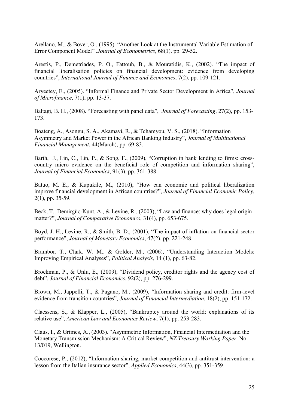Arellano, M., & Bover, O., (1995). "Another Look at the Instrumental Variable Estimation of Error Component Model" .*Journal of Econometrics*, 68(1), pp. 29-52.

Arestis, P., Demetriades, P. O., Fattouh, B., & Mouratidis, K., (2002). "The impact of financial liberalisation policies on financial development: evidence from developing countries", *International Journal of Finance and Economics*, 7(2), pp. 109-121.

Aryeetey, E., (2005). "Informal Finance and Private Sector Development in Africa", *Journal of Microfinance*, 7(1), pp. 13-37.

Baltagi, B. H., (2008). "Forecasting with panel data", *Journal of Forecasting*, 27(2), pp. 153- 173.

Boateng, A., Asongu, S. A., Akamavi, R., & Tchamyou, V. S., (2018). "Information Asymmetry and Market Power in the African Banking Industry", *Journal of Multinational Financial Management*, 44(March), pp. 69-83.

Barth, J., Lin, C., Lin, P., & Song, F., (2009), "Corruption in bank lending to firms: crosscountry micro evidence on the beneficial role of competition and information sharing", *Journal of Financial Economics*, 91(3), pp. 361-388.

Batuo, M. E., & Kupukile, M., (2010), "How can economic and political liberalization improve financial development in African countries?", *Journal of Financial Economic Policy*, 2(1), pp. 35-59.

Beck, T., Demirgüç-Kunt, A., & Levine, R., (2003), "Law and finance: why does legal origin matter?", *Journal of Comparative Economics*, 31(4), pp. 653-675.

Boyd, J. H., Levine, R., & Smith, B. D., (2001), "The impact of inflation on financial sector performance", *Journal of Monetary Economics*, 47(2), pp. 221-248.

Brambor, T., Clark, W. M., & Golder, M., (2006), "Understanding Interaction Models: Improving Empirical Analyses", *Political Analysis*, 14 (1), pp. 63-82.

Brockman, P., & Unlu, E., (2009), "Dividend policy, creditor rights and the agency cost of debt", *Journal of Financial Economics*, 92(2), pp. 276-299.

Brown, M., Jappelli, T., & Pagano, M., (2009), "Information sharing and credit: firm-level evidence from transition countries", *Journal of Financial Intermediation*, 18(2), pp. 151-172.

Claessens, S., & Klapper, L., (2005), "Bankruptcy around the world: explanations of its relative use", *American Law and Economics Review*, 7(1), pp. 253-283.

Claus, I., & Grimes, A., (2003). "Asymmetric Information, Financial Intermediation and the Monetary Transmission Mechanism: A Critical Review", *NZ Treasury Working Paper* No. 13/019, Wellington.

Coccorese, P., (2012), "Information sharing, market competition and antitrust intervention: a lesson from the Italian insurance sector", *Applied Economics*, 44(3), pp. 351-359.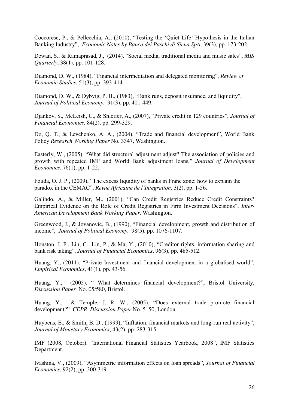Coccorese, P., & Pellecchia, A., (2010), "Testing the 'Quiet Life' Hypothesis in the Italian Banking Industry", *Economic Notes by Banca dei Paschi di Siena SpA*, 39(3), pp. 173-202.

Dewan, S., & Ramaprasad, J., (2014). "Social media, traditional media and music sales", *MIS Quarterly*, 38(1), pp. 101-128.

Diamond, D. W., (1984), "Financial intermediation and delegated monitoring", *Review of Economic Studies*, 51(3), pp. 393-414.

Diamond, D. W., & Dybvig, P. H., (1983), "Bank runs, deposit insurance, and liquidity", *Journal of Political Economy*, 91(3), pp. 401-449.

Djankov, S., McLeish, C., & Shleifer, A., (2007), "Private credit in 129 countries", *Journal of Financial Economics*, 84(2), pp. 299-329.

Do, Q. T., & Levchenko, A. A., (2004), "Trade and financial development", World Bank Policy *Research Working Paper* No. 3347, Washington.

Easterly, W., (2005). "What did structural adjustment adjust? The association of policies and growth with repeated IMF and World Bank adjustment loans," *Journal of Development Economics*, 76(1), pp. 1-22.

Fouda, O. J. P., (2009), "The excess liquidity of banks in Franc zone: how to explain the paradox in the CEMAC", *Revue Africaine de l'Integration*, 3(2), pp. 1-56.

Galindo, A., & Miller, M., (2001), "Can Credit Registries Reduce Credit Constraints? Empirical Evidence on the Role of Credit Registries in Firm Investment Decisions", *Inter-American Development Bank Working Paper,* Washington.

Greenwood, J., & Jovanovic, B., (1990), "Financial development, growth and distribution of income", *Journal of Political Economy*, 98(5), pp. 1076-1107.

Houston, J. F., Lin, C., Lin, P., & Ma, Y., (2010), "Creditor rights, information sharing and bank risk taking", *Journal of Financial Economics*, 96(3), pp. 485-512.

Huang, Y., (2011). "Private Investment and financial development in a globalised world", *Empirical Economics*, 41(1), pp. 43-56.

Huang, Y., (2005), " What determines financial development?", Bristol University, *Discussion Paper* No. 05/580, Bristol.

Huang, Y., & Temple, J. R. W., (2005), "Does external trade promote financial development?" *CEPR Discussion Paper* No. 5150, London.

Huybens, E., & Smith, B. D., (1999), "Inflation, financial markets and long-run real activity", *Journal of Monetary Economics*, 43(2), pp. 283-315.

IMF (2008, October). "International Financial Statistics Yearbook, 2008", IMF Statistics Department.

Ivashina, V., (2009), "Asymmetric information effects on loan spreads", *Journal of Financial Economics*, 92(2), pp. 300-319.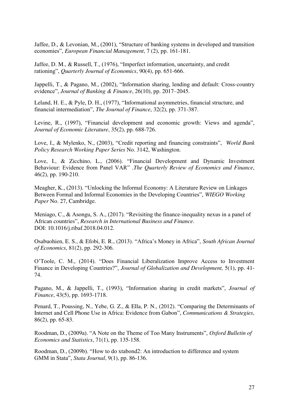Jaffee, D., & Levonian, M., (2001), "Structure of banking systems in developed and transition economies", *European Financial Management*, 7 (2), pp. 161-181.

Jaffee, D. M., & Russell, T., (1976), "Imperfect information, uncertainty, and credit rationing", *Quarterly Journal of Economics*, 90(4), pp. 651-666.

Jappelli, T., & Pagano, M., (2002), "Information sharing, lending and default: Cross-country evidence", *Journal of Banking & Finance*, 26(10), pp. 2017–2045.

Leland, H. E., & Pyle, D. H., (1977), "Informational asymmetries, financial structure, and financial intermediation", *The Journal of Finance*, 32(2), pp. 371-387.

Levine, R., (1997), "Financial development and economic growth: Views and agenda", *Journal of Economic Literature*, 35(2), pp. 688-726.

Love, I., & Mylenko, N., (2003), "Credit reporting and financing constraints", *World Bank Policy Research Working Paper Series* No. 3142, Washington.

Love, I., & Zicchino, L., (2006). "Financial Development and Dynamic Investment Behaviour: Evidence from Panel VAR" .*The Quarterly Review of Economics and Finance*, 46(2), pp. 190-210.

Meagher, K., (2013). "Unlocking the Informal Economy: A Literature Review on Linkages Between Formal and Informal Economies in the Developing Countries", *WIEGO Working Paper* No. 27, Cambridge.

Meniago, C., & Asongu, S. A., (2017). "Revisiting the finance-inequality nexus in a panel of African countries", *Research in International Business and Finance*. DOI: 10.1016/j.ribaf.2018.04.012.

Osabuohien, E. S., & Efobi, E. R., (2013). "Africa's Money in Africa", *South African Journal of Economics*, 81(2), pp. 292-306.

O'Toole, C. M., (2014). "Does Financial Liberalization Improve Access to Investment Finance in Developing Countries?", *Journal of Globalization and Development,* 5(1), pp. 41- 74.

Pagano, M., & Jappelli, T., (1993), "Information sharing in credit markets", *Journal of Finance*, 43(5), pp. 1693-1718.

Penard, T., Poussing, N., Yebe, G. Z., & Ella, P. N., (2012). "Comparing the Determinants of Internet and Cell Phone Use in Africa: Evidence from Gabon", *Communications & Strategies*, 86(2), pp. 65-83.

Roodman, D., (2009a). "A Note on the Theme of Too Many Instruments", *Oxford Bulletin of Economics and Statistics*, 71(1), pp. 135-158.

Roodman, D., (2009b). "How to do xtabond2: An introduction to difference and system GMM in Stata", *Stata Journal*, 9(1), pp. 86-136.